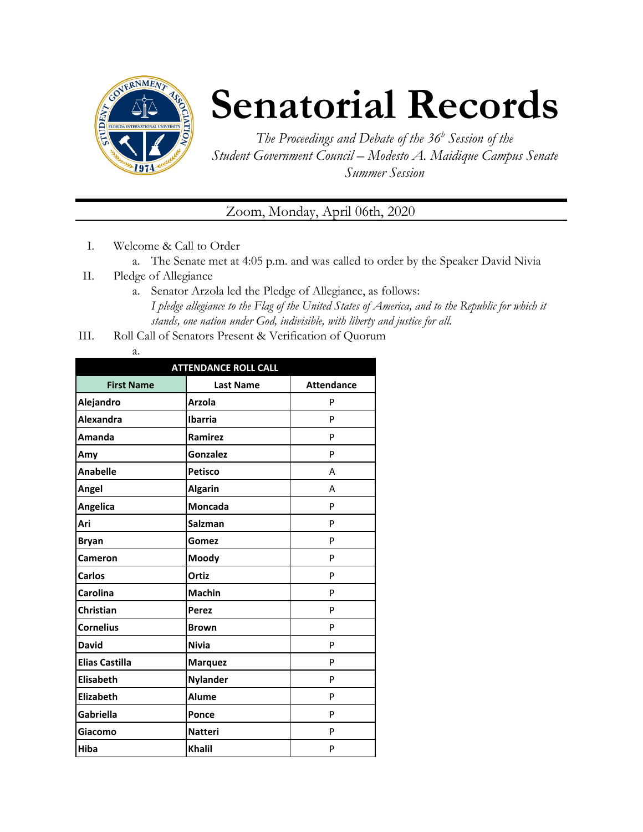

# **Senatorial Records**

*The Proceedings and Debate of the 36 <sup>h</sup> Session of the Student Government Council – Modesto A. Maidique Campus Senate Summer Session*

## Zoom, Monday, April 06th, 2020

- I. Welcome & Call to Order
	- a. The Senate met at 4:05 p.m. and was called to order by the Speaker David Nivia
- II. Pledge of Allegiance
	- a. Senator Arzola led the Pledge of Allegiance, as follows: *I pledge allegiance to the Flag of the United States of America, and to the Republic for which it stands, one nation under God, indivisible, with liberty and justice for all.*
- III. Roll Call of Senators Present & Verification of Quorum

| I<br>÷<br>$-$ |
|---------------|

| <b>ATTENDANCE ROLL CALL</b> |                  |                   |  |  |
|-----------------------------|------------------|-------------------|--|--|
| <b>First Name</b>           | <b>Last Name</b> | <b>Attendance</b> |  |  |
| Alejandro                   | <b>Arzola</b>    | P                 |  |  |
| Alexandra                   | <b>Ibarria</b>   | P                 |  |  |
| Amanda                      | Ramirez          | P                 |  |  |
| Amy                         | Gonzalez         | P                 |  |  |
| <b>Anabelle</b>             | <b>Petisco</b>   | A                 |  |  |
| Angel                       | <b>Algarin</b>   | А                 |  |  |
| Angelica                    | <b>Moncada</b>   | P                 |  |  |
| Ari                         | <b>Salzman</b>   | P                 |  |  |
| <b>Bryan</b>                | Gomez            | P                 |  |  |
| <b>Cameron</b>              | Moody            | P                 |  |  |
| <b>Carlos</b>               | Ortiz            | P                 |  |  |
| Carolina                    | <b>Machin</b>    | P                 |  |  |
| <b>Christian</b>            | <b>Perez</b>     | P                 |  |  |
| <b>Cornelius</b>            | <b>Brown</b>     | P                 |  |  |
| <b>David</b>                | <b>Nivia</b>     | P                 |  |  |
| <b>Elias Castilla</b>       | <b>Marquez</b>   | P                 |  |  |
| <b>Elisabeth</b>            | <b>Nylander</b>  | P                 |  |  |
| Elizabeth                   | <b>Alume</b>     | P                 |  |  |
| <b>Gabriella</b>            | Ponce            | P                 |  |  |
| Giacomo                     | <b>Natteri</b>   | P                 |  |  |
| <b>Hiba</b>                 | <b>Khalil</b>    | P                 |  |  |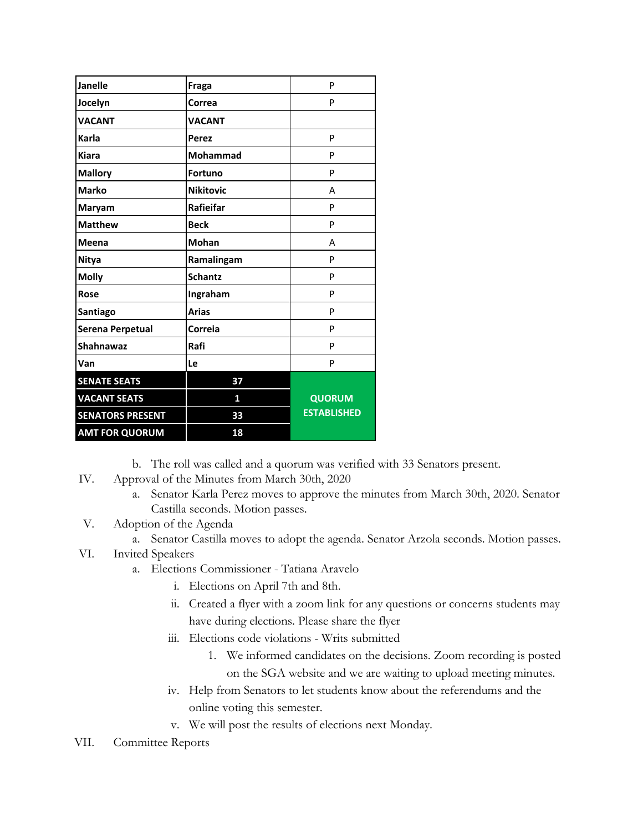| Janelle                 | Fraga            | P                  |
|-------------------------|------------------|--------------------|
| Jocelyn                 | Correa           | P                  |
| <b>VACANT</b>           | <b>VACANT</b>    |                    |
| Karla                   | Perez            | P                  |
| <b>Kiara</b>            | Mohammad         | P                  |
| <b>Mallory</b>          | <b>Fortuno</b>   | P                  |
| <b>Marko</b>            | <b>Nikitovic</b> | A                  |
| Maryam                  | Rafieifar        | P                  |
| <b>Matthew</b>          | <b>Beck</b>      | P                  |
| Meena                   | <b>Mohan</b>     | А                  |
| <b>Nitya</b>            | Ramalingam       | P                  |
| <b>Molly</b>            | <b>Schantz</b>   | P                  |
| Rose                    | Ingraham         | P                  |
| Santiago                | <b>Arias</b>     | P                  |
| Serena Perpetual        | Correia          | P                  |
| <b>Shahnawaz</b>        | Rafi             | P                  |
| Van                     | Le               | P                  |
| <b>SENATE SEATS</b>     | 37               |                    |
| <b>VACANT SEATS</b>     | 1                | <b>QUORUM</b>      |
| <b>SENATORS PRESENT</b> | 33               | <b>ESTABLISHED</b> |
| <b>AMT FOR QUORUM</b>   | 18               |                    |

b. The roll was called and a quorum was verified with 33 Senators present.

- IV. Approval of the Minutes from March 30th, 2020
	- a. Senator Karla Perez moves to approve the minutes from March 30th, 2020. Senator Castilla seconds. Motion passes.
- V. Adoption of the Agenda
	- a. Senator Castilla moves to adopt the agenda. Senator Arzola seconds. Motion passes.
- VI. Invited Speakers
	- a. Elections Commissioner Tatiana Aravelo
		- i. Elections on April 7th and 8th.
		- ii. Created a flyer with a zoom link for any questions or concerns students may have during elections. Please share the flyer
		- iii. Elections code violations Writs submitted
			- 1. We informed candidates on the decisions. Zoom recording is posted on the SGA website and we are waiting to upload meeting minutes.
		- iv. Help from Senators to let students know about the referendums and the online voting this semester.
		- v. We will post the results of elections next Monday.
- VII. Committee Reports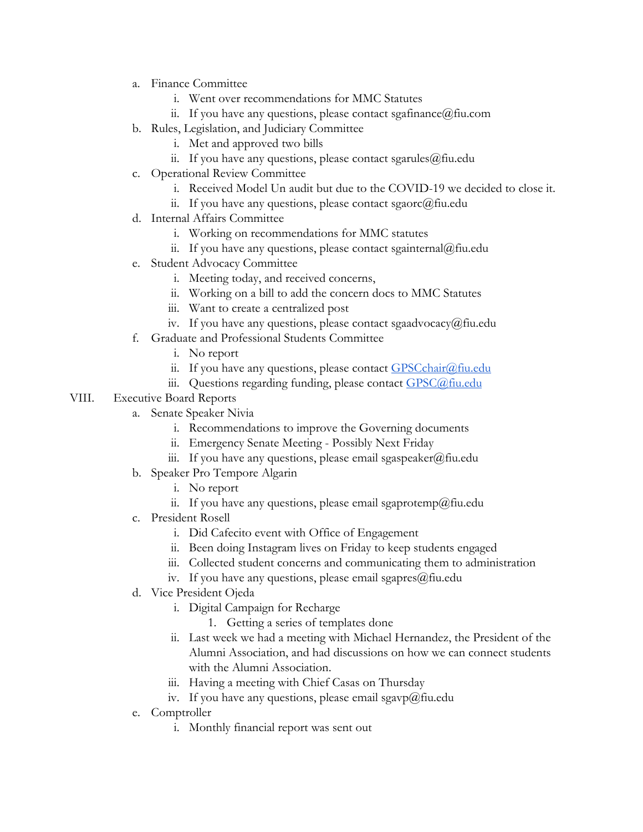- a. Finance Committee
	- i. Went over recommendations for MMC Statutes
	- ii. If you have any questions, please contact sgafinance@fiu.com
- b. Rules, Legislation, and Judiciary Committee
	- i. Met and approved two bills
	- ii. If you have any questions, please contact sgarules  $(\partial)$  fiu.edu
- c. Operational Review Committee
	- i. Received Model Un audit but due to the COVID-19 we decided to close it.
	- ii. If you have any questions, please contact sgaorc $@$ fiu.edu
- d. Internal Affairs Committee
	- i. Working on recommendations for MMC statutes
	- ii. If you have any questions, please contact sgainternal@fiu.edu
- e. Student Advocacy Committee
	- i. Meeting today, and received concerns,
	- ii. Working on a bill to add the concern docs to MMC Statutes
	- iii. Want to create a centralized post
	- iv. If you have any questions, please contact sgaadvocacy@fiu.edu
- f. Graduate and Professional Students Committee
	- i. No report
	- ii. If you have any questions, please contact **GPSC**chair@fiu.edu
	- iii. Questions regarding funding, please contact [GPSC@fiu.edu](mailto:GPC@fiu.edu)

#### VIII. Executive Board Reports

- a. Senate Speaker Nivia
	- i. Recommendations to improve the Governing documents
	- ii. Emergency Senate Meeting Possibly Next Friday
	- iii. If you have any questions, please email sgaspeaker@fiu.edu
- b. Speaker Pro Tempore Algarin
	- i. No report
	- ii. If you have any questions, please email sgaprotemp@fiu.edu
- c. President Rosell
	- i. Did Cafecito event with Office of Engagement
	- ii. Been doing Instagram lives on Friday to keep students engaged
	- iii. Collected student concerns and communicating them to administration
	- iv. If you have any questions, please email sgapres $@$ fiu.edu
- d. Vice President Ojeda
	- i. Digital Campaign for Recharge
		- 1. Getting a series of templates done
	- ii. Last week we had a meeting with Michael Hernandez, the President of the Alumni Association, and had discussions on how we can connect students with the Alumni Association.
	- iii. Having a meeting with Chief Casas on Thursday
	- iv. If you have any questions, please email sgavp $@$ fiu.edu
- e. Comptroller
	- i. Monthly financial report was sent out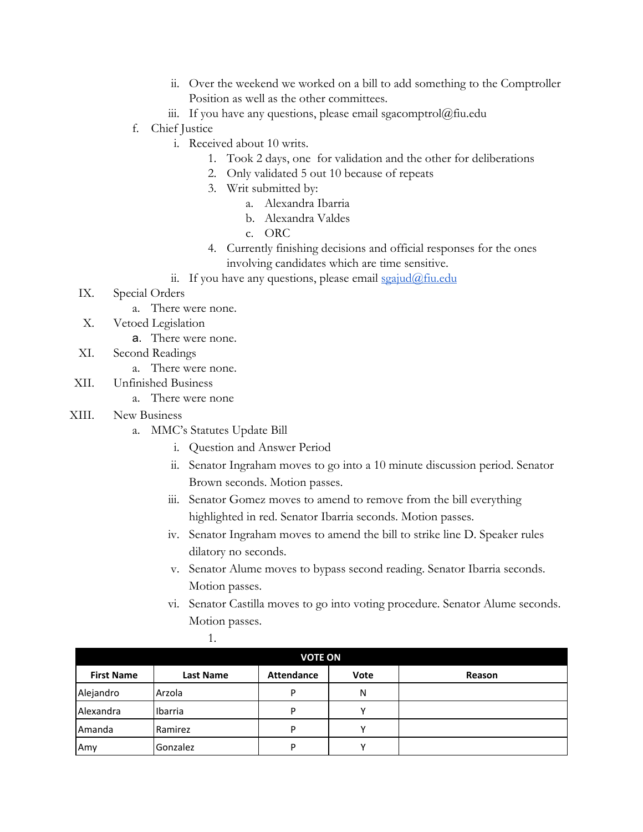- ii. Over the weekend we worked on a bill to add something to the Comptroller Position as well as the other committees.
- iii. If you have any questions, please email sgacomptrol@fiu.edu
- f. Chief Justice
	- i. Received about 10 writs.
		- 1. Took 2 days, one for validation and the other for deliberations
		- 2. Only validated 5 out 10 because of repeats
		- 3. Writ submitted by:
			- a. Alexandra Ibarria
				- b. Alexandra Valdes
				- c. ORC
		- 4. Currently finishing decisions and official responses for the ones involving candidates which are time sensitive.
	- ii. If you have any questions, please email  $sgaiud@final$
- IX. Special Orders
	- a. There were none.
- X. Vetoed Legislation
	- a. There were none.
- XI. Second Readings
	- a. There were none.
- XII. Unfinished Business
	- a. There were none
- XIII. New Business
	- a. MMC's Statutes Update Bill

1.

- i. Question and Answer Period
- ii. Senator Ingraham moves to go into a 10 minute discussion period. Senator Brown seconds. Motion passes.
- iii. Senator Gomez moves to amend to remove from the bill everything highlighted in red. Senator Ibarria seconds. Motion passes.
- iv. Senator Ingraham moves to amend the bill to strike line D. Speaker rules dilatory no seconds.
- v. Senator Alume moves to bypass second reading. Senator Ibarria seconds. Motion passes.
- vi. Senator Castilla moves to go into voting procedure. Senator Alume seconds. Motion passes.

| <b>VOTE ON</b>    |                  |                   |      |        |
|-------------------|------------------|-------------------|------|--------|
| <b>First Name</b> | <b>Last Name</b> | <b>Attendance</b> | Vote | Reason |
| Alejandro         | Arzola           | D                 | N    |        |
| <b>Alexandra</b>  | Ibarria          | D                 | v    |        |
| Amanda            | Ramirez          | D                 | v    |        |
| Amy               | Gonzalez         | D                 |      |        |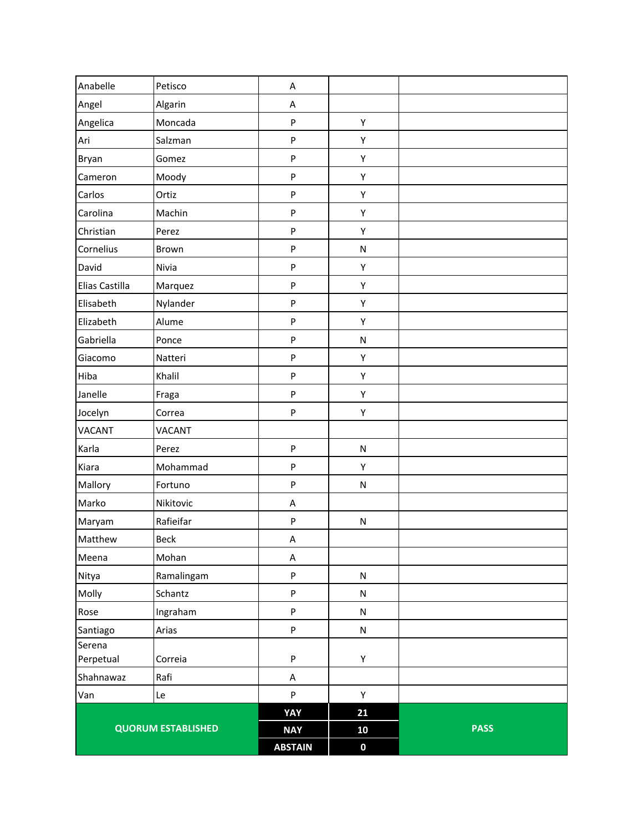|                           |               | <b>ABSTAIN</b> | $\mathbf 0$ |             |
|---------------------------|---------------|----------------|-------------|-------------|
| <b>QUORUM ESTABLISHED</b> |               | <b>NAY</b>     | 10          | <b>PASS</b> |
|                           |               | YAY            | 21          |             |
| Van                       | Le            | ${\sf P}$      | Υ           |             |
| Shahnawaz                 | Rafi          | A              |             |             |
| Perpetual                 | Correia       | ${\sf P}$      | Υ           |             |
| Santiago<br>Serena        | Arias         | ${\sf P}$      | ${\sf N}$   |             |
| Rose                      | Ingraham      | ${\sf P}$      | ${\sf N}$   |             |
| Molly                     | Schantz       | ${\sf P}$      | ${\sf N}$   |             |
| Nitya                     | Ramalingam    | ${\sf P}$      | ${\sf N}$   |             |
| Meena                     | Mohan         | A              |             |             |
| Matthew                   | Beck          | A              |             |             |
| Maryam                    | Rafieifar     | ${\sf P}$      | ${\sf N}$   |             |
| Marko                     | Nikitovic     | A              |             |             |
| Mallory                   | Fortuno       | P              | ${\sf N}$   |             |
| Kiara                     | Mohammad      | ${\sf P}$      | Υ           |             |
| Karla                     | Perez         | ${\sf P}$      | ${\sf N}$   |             |
| <b>VACANT</b>             | <b>VACANT</b> |                |             |             |
| Jocelyn                   | Correa        | ${\sf P}$      | Υ           |             |
| Janelle                   | Fraga         | $\sf P$        | Υ           |             |
| Hiba                      | Khalil        | $\sf P$        | Υ           |             |
| Giacomo                   | Natteri       | ${\sf P}$      | Υ           |             |
| Gabriella                 | Ponce         | ${\sf P}$      | ${\sf N}$   |             |
| Elizabeth                 | Alume         | ${\sf P}$      | Υ           |             |
| Elisabeth                 | Nylander      | ${\sf P}$      | Υ           |             |
| Elias Castilla            | Marquez       | ${\sf P}$      | Υ           |             |
| David                     | Nivia         | ${\sf P}$      | Υ           |             |
| Cornelius                 | Brown         | $\sf P$        | ${\sf N}$   |             |
| Christian                 | Perez         | ${\sf P}$      | Υ           |             |
| Carolina                  | Machin        | ${\sf P}$      | Υ           |             |
| Carlos                    | Ortiz         | ${\sf P}$      | Υ           |             |
| Cameron                   | Moody         | ${\sf P}$      | Υ           |             |
| Bryan                     | Gomez         | ${\sf P}$      | Υ           |             |
| Ari                       | Salzman       | ${\sf P}$      | Υ           |             |
| Angelica                  | Moncada       | ${\sf P}$      | Υ           |             |
| Angel                     | Algarin       | A              |             |             |
| Anabelle                  | Petisco       | A              |             |             |
|                           |               |                |             |             |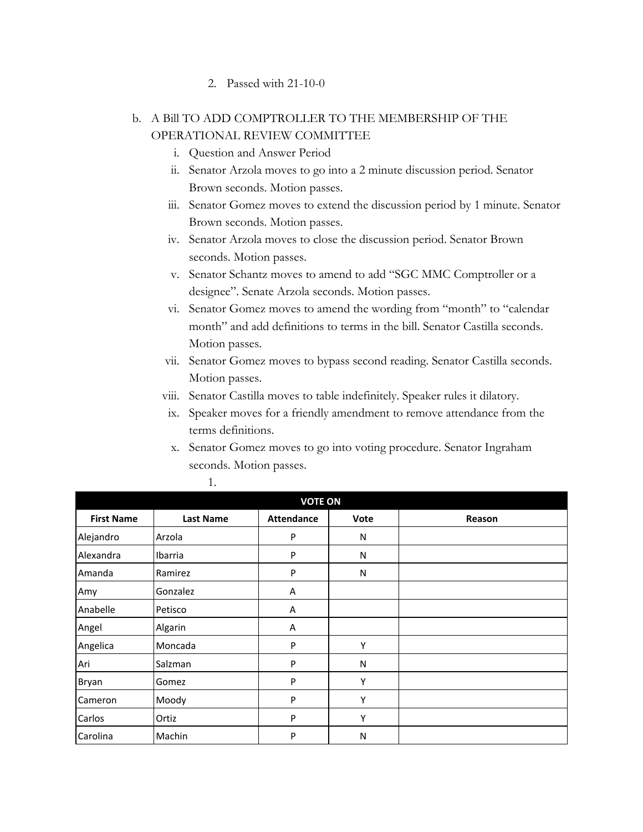#### 2. Passed with 21-10-0

### b. A Bill TO ADD COMPTROLLER TO THE MEMBERSHIP OF THE OPERATIONAL REVIEW COMMITTEE

- i. Question and Answer Period
- ii. Senator Arzola moves to go into a 2 minute discussion period. Senator Brown seconds. Motion passes.
- iii. Senator Gomez moves to extend the discussion period by 1 minute. Senator Brown seconds. Motion passes.
- iv. Senator Arzola moves to close the discussion period. Senator Brown seconds. Motion passes.
- v. Senator Schantz moves to amend to add "SGC MMC Comptroller or a designee". Senate Arzola seconds. Motion passes.
- vi. Senator Gomez moves to amend the wording from "month" to "calendar month" and add definitions to terms in the bill. Senator Castilla seconds. Motion passes.
- vii. Senator Gomez moves to bypass second reading. Senator Castilla seconds. Motion passes.
- viii. Senator Castilla moves to table indefinitely. Speaker rules it dilatory.
- ix. Speaker moves for a friendly amendment to remove attendance from the terms definitions.
- x. Senator Gomez moves to go into voting procedure. Senator Ingraham seconds. Motion passes.

| <b>VOTE ON</b>    |                  |                   |      |        |
|-------------------|------------------|-------------------|------|--------|
| <b>First Name</b> | <b>Last Name</b> | <b>Attendance</b> | Vote | Reason |
| Alejandro         | Arzola           | P                 | N    |        |
| Alexandra         | Ibarria          | P                 | N    |        |
| Amanda            | Ramirez          | P                 | N    |        |
| Amy               | Gonzalez         | Α                 |      |        |
| Anabelle          | Petisco          | Α                 |      |        |
| Angel             | Algarin          | A                 |      |        |
| Angelica          | Moncada          | P                 | Υ    |        |
| Ari               | Salzman          | P                 | N    |        |
| Bryan             | Gomez            | P                 | Υ    |        |
| Cameron           | Moody            | P                 | Υ    |        |
| Carlos            | Ortiz            | P                 | Υ    |        |
| Carolina          | Machin           | P                 | N    |        |

1.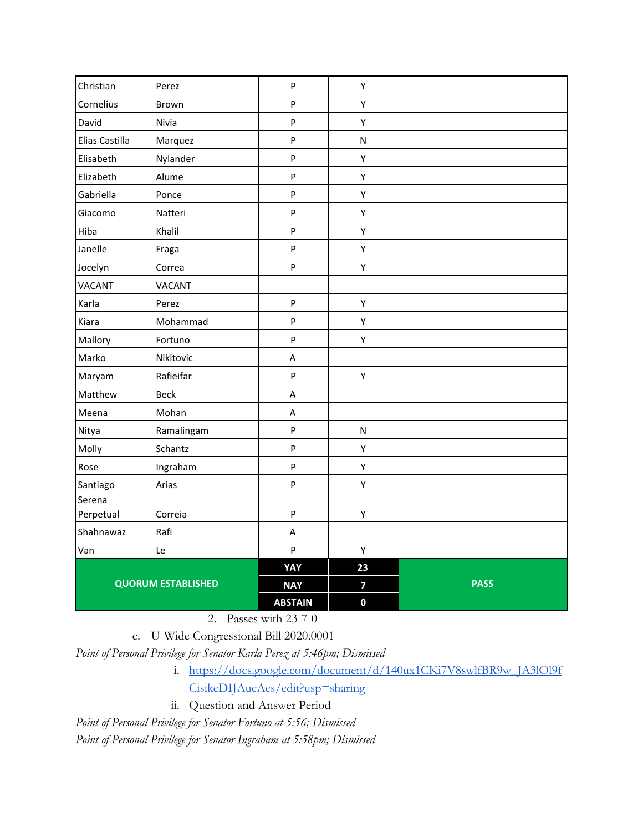| Christian                 | Perez         | $\mathsf{P}$              | Y                       |             |
|---------------------------|---------------|---------------------------|-------------------------|-------------|
| Cornelius                 | Brown         | $\sf P$                   | Υ                       |             |
| David                     | Nivia         | $\sf P$                   | Y                       |             |
| Elias Castilla            | Marquez       | $\mathsf{P}$              | ${\sf N}$               |             |
| Elisabeth                 | Nylander      | $\mathsf{P}$              | Y                       |             |
| Elizabeth                 | Alume         | $\boldsymbol{\mathsf{P}}$ | Υ                       |             |
| Gabriella                 | Ponce         | $\sf P$                   | Y                       |             |
| Giacomo                   | Natteri       | $\sf P$                   | Y                       |             |
| Hiba                      | Khalil        | $\mathsf{P}$              | Y                       |             |
| Janelle                   | Fraga         | $\mathsf{P}$              | Υ                       |             |
| Jocelyn                   | Correa        | $\sf P$                   | Y                       |             |
| VACANT                    | <b>VACANT</b> |                           |                         |             |
| Karla                     | Perez         | $\mathsf{P}$              | Υ                       |             |
| Kiara                     | Mohammad      | $\sf P$                   | Y                       |             |
| Mallory                   | Fortuno       | $\sf P$                   | Υ                       |             |
| Marko                     | Nikitovic     | Α                         |                         |             |
| Maryam                    | Rafieifar     | $\boldsymbol{\mathsf{P}}$ | Y                       |             |
| Matthew                   | <b>Beck</b>   | A                         |                         |             |
| Meena                     | Mohan         | Α                         |                         |             |
| Nitya                     | Ramalingam    | $\boldsymbol{\mathsf{P}}$ | ${\sf N}$               |             |
| Molly                     | Schantz       | $\boldsymbol{\mathsf{P}}$ | Y                       |             |
| Rose                      | Ingraham      | $\sf P$                   | Y                       |             |
| Santiago                  | Arias         | $\mathsf{P}$              | Y                       |             |
| Serena                    |               |                           |                         |             |
| Perpetual                 | Correia       | ${\sf P}$                 | Y                       |             |
| Shahnawaz                 | Rafi          | Α                         |                         |             |
| Van                       | Le            | $\mathsf{P}$              | Y                       |             |
|                           |               | YAY                       | 23                      |             |
| <b>QUORUM ESTABLISHED</b> |               | <b>NAY</b>                | $\overline{\mathbf{z}}$ | <b>PASS</b> |
|                           |               | <b>ABSTAIN</b>            | $\mathbf 0$             |             |

2. Passes with 23-7-0

c. U-Wide Congressional Bill 2020.0001

*Point of Personal Privilege for Senator Karla Perez at 5:46pm; Dismissed*

- i. [https://docs.google.com/document/d/140ux1CKi7V8swlfBR9w\\_JA3lOl9f](https://docs.google.com/document/d/140ux1CKi7V8swlfBR9w_JA3lOl9fCisikeDIJAucAes/edit?usp=sharing) [CisikeDIJAucAes/edit?usp=sharing](https://docs.google.com/document/d/140ux1CKi7V8swlfBR9w_JA3lOl9fCisikeDIJAucAes/edit?usp=sharing)
- ii. Question and Answer Period

*Point of Personal Privilege for Senator Fortuno at 5:56; Dismissed*

*Point of Personal Privilege for Senator Ingraham at 5:58pm; Dismissed*